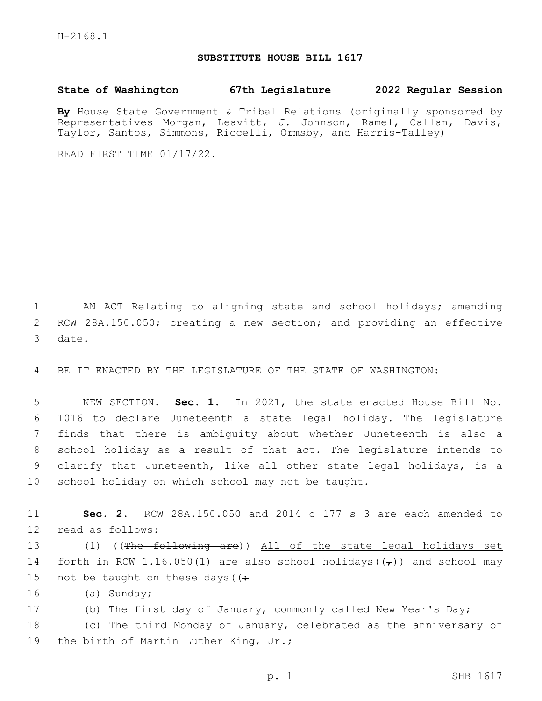## **SUBSTITUTE HOUSE BILL 1617**

**State of Washington 67th Legislature 2022 Regular Session**

**By** House State Government & Tribal Relations (originally sponsored by Representatives Morgan, Leavitt, J. Johnson, Ramel, Callan, Davis, Taylor, Santos, Simmons, Riccelli, Ormsby, and Harris-Talley)

READ FIRST TIME 01/17/22.

1 AN ACT Relating to aligning state and school holidays; amending 2 RCW 28A.150.050; creating a new section; and providing an effective 3 date.

4 BE IT ENACTED BY THE LEGISLATURE OF THE STATE OF WASHINGTON:

 NEW SECTION. **Sec. 1.** In 2021, the state enacted House Bill No. 1016 to declare Juneteenth a state legal holiday. The legislature finds that there is ambiguity about whether Juneteenth is also a school holiday as a result of that act. The legislature intends to clarify that Juneteenth, like all other state legal holidays, is a school holiday on which school may not be taught.

11 **Sec. 2.** RCW 28A.150.050 and 2014 c 177 s 3 are each amended to 12 read as follows:

13 (1) ((The following are)) All of the state legal holidays set 14 forth in RCW 1.16.050(1) are also school holidays( $(\tau)$ ) and school may 15 not be taught on these days ( $\left(\div\right)$ 

16 <del>(a) Sunday;</del>

17 (b) The first day of January, commonly called New Year's Day;

18 (c) The third Monday of January, celebrated as the anniversary of 19 the birth of Martin Luther King, Jr.;